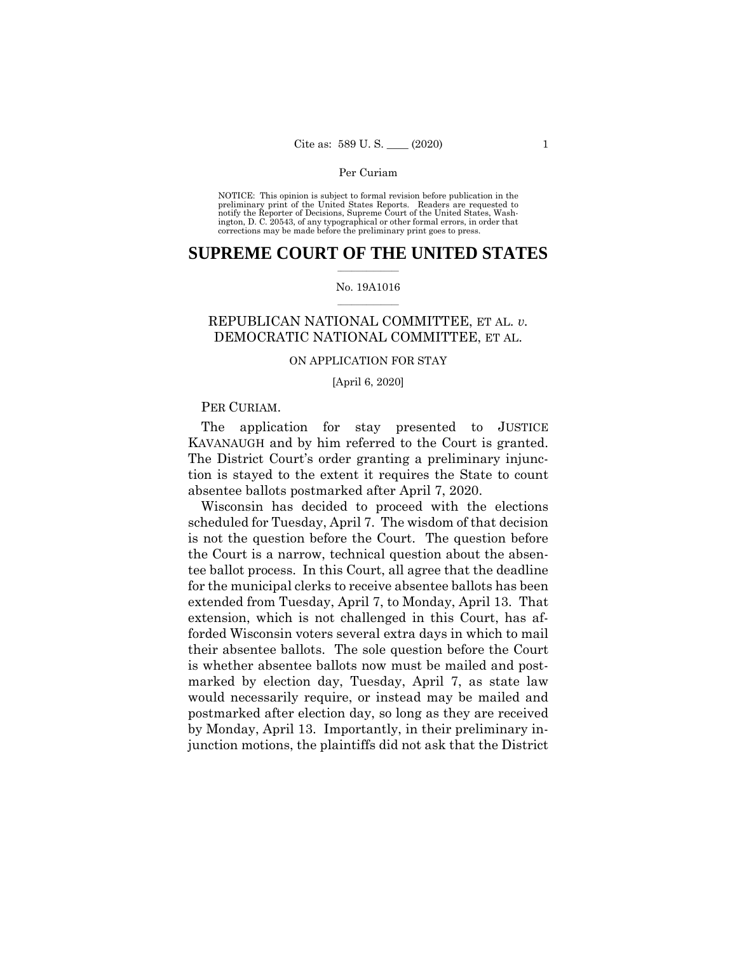#### Per Curiam

 NOTICE: This opinion is subject to formal revision before publication in the preliminary print of the United States Reports. Readers are requested to notify the Reporter of Decisions, Supreme Court of the United States, Wash-ington, D. C. 20543, of any typographical or other formal errors, in order that corrections may be made before the preliminary print goes to press.

#### $\frac{1}{2}$  ,  $\frac{1}{2}$  ,  $\frac{1}{2}$  ,  $\frac{1}{2}$  ,  $\frac{1}{2}$  ,  $\frac{1}{2}$  ,  $\frac{1}{2}$ **SUPREME COURT OF THE UNITED STATES**

#### $\frac{1}{2}$  ,  $\frac{1}{2}$  ,  $\frac{1}{2}$  ,  $\frac{1}{2}$  ,  $\frac{1}{2}$  ,  $\frac{1}{2}$ No. 19A1016

# REPUBLICAN NATIONAL COMMITTEE, ET AL. *v.*  DEMOCRATIC NATIONAL COMMITTEE, ET AL.

#### ON APPLICATION FOR STAY

#### [April 6, 2020]

### PER CURIAM.

 KAVANAUGH and by him referred to the Court is granted. The application for stay presented to JUSTICE The District Court's order granting a preliminary injunction is stayed to the extent it requires the State to count absentee ballots postmarked after April 7, 2020.

Wisconsin has decided to proceed with the elections scheduled for Tuesday, April 7. The wisdom of that decision is not the question before the Court. The question before the Court is a narrow, technical question about the absentee ballot process. In this Court, all agree that the deadline for the municipal clerks to receive absentee ballots has been extended from Tuesday, April 7, to Monday, April 13. That extension, which is not challenged in this Court, has afforded Wisconsin voters several extra days in which to mail their absentee ballots. The sole question before the Court is whether absentee ballots now must be mailed and postmarked by election day, Tuesday, April 7, as state law would necessarily require, or instead may be mailed and postmarked after election day, so long as they are received by Monday, April 13. Importantly, in their preliminary injunction motions, the plaintiffs did not ask that the District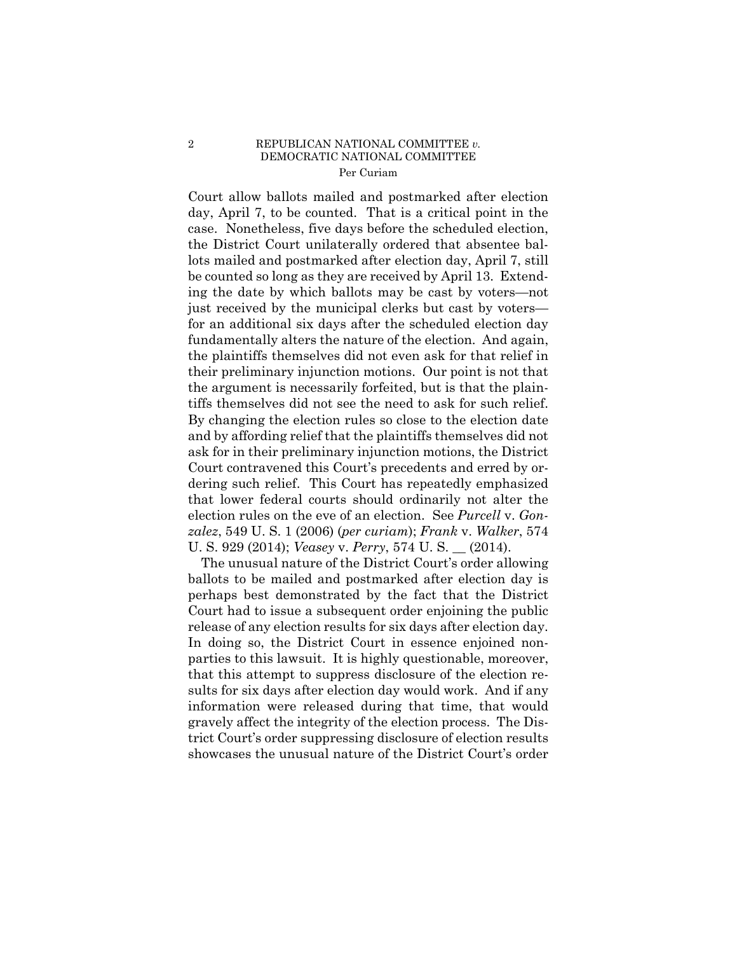#### 2 REPUBLICAN NATIONAL COMMITTEE *v.*  DEMOCRATIC NATIONAL COMMITTEE Per Curiam

Court allow ballots mailed and postmarked after election day, April 7, to be counted. That is a critical point in the case. Nonetheless, five days before the scheduled election, the District Court unilaterally ordered that absentee ballots mailed and postmarked after election day, April 7, still be counted so long as they are received by April 13. Extending the date by which ballots may be cast by voters—not just received by the municipal clerks but cast by voters for an additional six days after the scheduled election day fundamentally alters the nature of the election. And again, the plaintiffs themselves did not even ask for that relief in their preliminary injunction motions. Our point is not that the argument is necessarily forfeited, but is that the plaintiffs themselves did not see the need to ask for such relief. By changing the election rules so close to the election date and by affording relief that the plaintiffs themselves did not ask for in their preliminary injunction motions, the District Court contravened this Court's precedents and erred by ordering such relief. This Court has repeatedly emphasized that lower federal courts should ordinarily not alter the election rules on the eve of an election. See *Purcell* v. *Gonzalez*, 549 U. S. 1 (2006) (*per curiam*); *Frank* v. *Walker*, 574 U. S. 929 (2014); *Veasey* v. *Perry*, 574 U. S. \_\_ (2014).

 release of any election results for six days after election day. The unusual nature of the District Court's order allowing ballots to be mailed and postmarked after election day is perhaps best demonstrated by the fact that the District Court had to issue a subsequent order enjoining the public In doing so, the District Court in essence enjoined nonparties to this lawsuit. It is highly questionable, moreover, that this attempt to suppress disclosure of the election results for six days after election day would work. And if any information were released during that time, that would gravely affect the integrity of the election process. The District Court's order suppressing disclosure of election results showcases the unusual nature of the District Court's order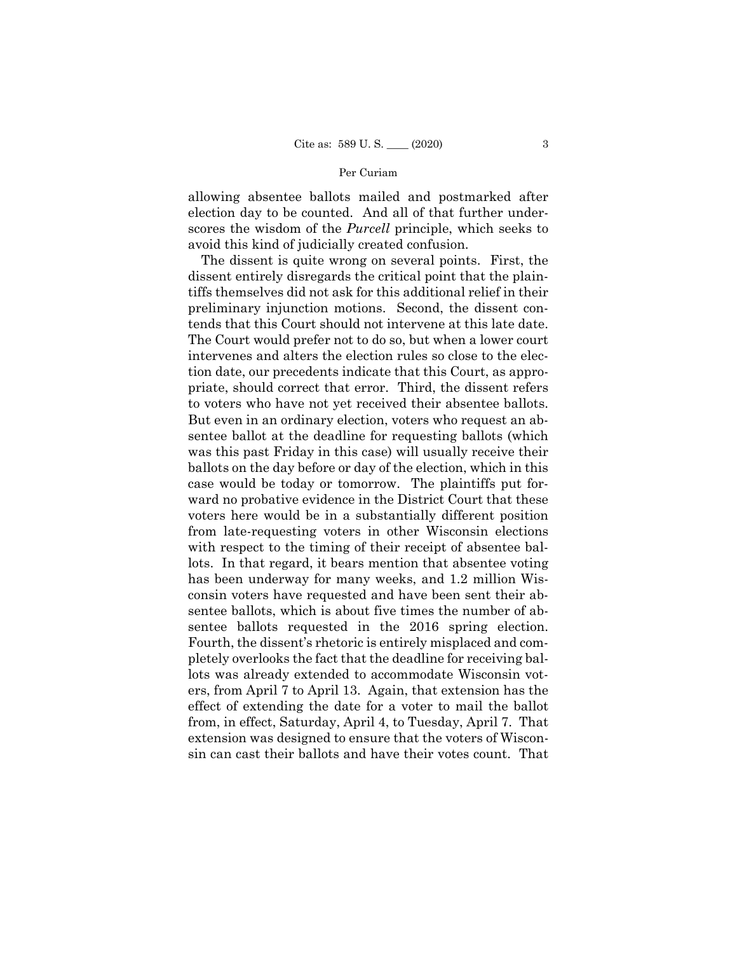## Per Curiam

allowing absentee ballots mailed and postmarked after election day to be counted. And all of that further underscores the wisdom of the *Purcell* principle, which seeks to avoid this kind of judicially created confusion.

The dissent is quite wrong on several points. First, the dissent entirely disregards the critical point that the plaintiffs themselves did not ask for this additional relief in their preliminary injunction motions. Second, the dissent contends that this Court should not intervene at this late date. The Court would prefer not to do so, but when a lower court intervenes and alters the election rules so close to the election date, our precedents indicate that this Court, as appropriate, should correct that error. Third, the dissent refers to voters who have not yet received their absentee ballots. But even in an ordinary election, voters who request an absentee ballot at the deadline for requesting ballots (which was this past Friday in this case) will usually receive their ballots on the day before or day of the election, which in this case would be today or tomorrow. The plaintiffs put forward no probative evidence in the District Court that these voters here would be in a substantially different position from late-requesting voters in other Wisconsin elections with respect to the timing of their receipt of absentee ballots. In that regard, it bears mention that absentee voting has been underway for many weeks, and 1.2 million Wisconsin voters have requested and have been sent their absentee ballots, which is about five times the number of absentee ballots requested in the 2016 spring election. Fourth, the dissent's rhetoric is entirely misplaced and completely overlooks the fact that the deadline for receiving ballots was already extended to accommodate Wisconsin voters, from April 7 to April 13. Again, that extension has the effect of extending the date for a voter to mail the ballot from, in effect, Saturday, April 4, to Tuesday, April 7. That extension was designed to ensure that the voters of Wisconsin can cast their ballots and have their votes count. That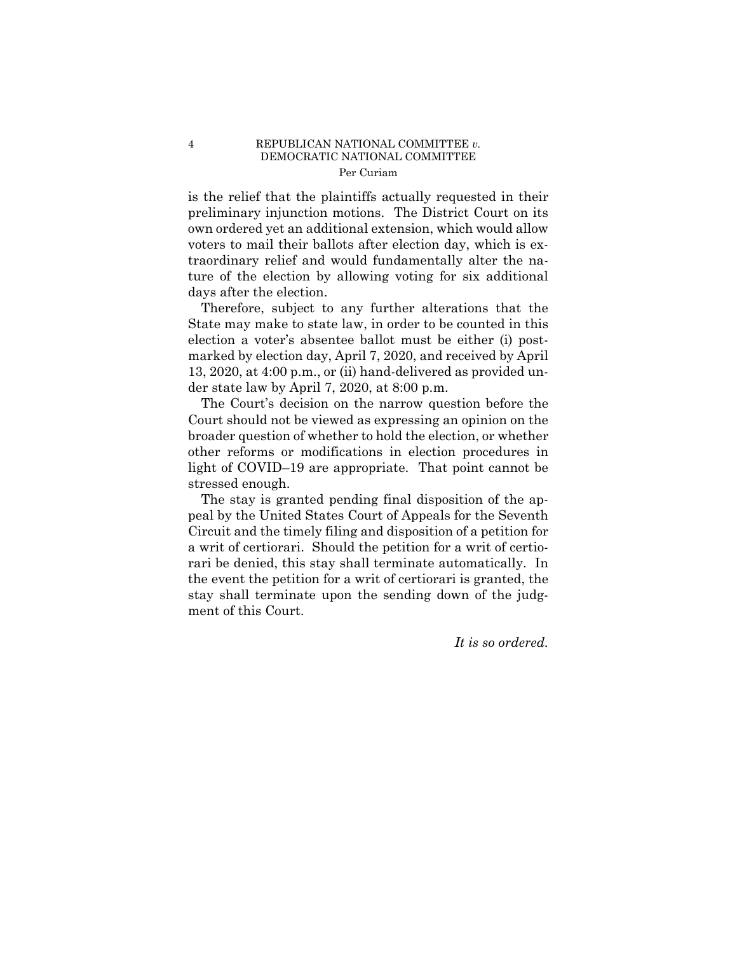#### 4 REPUBLICAN NATIONAL COMMITTEE *v.*  DEMOCRATIC NATIONAL COMMITTEE Per Curiam

is the relief that the plaintiffs actually requested in their preliminary injunction motions. The District Court on its own ordered yet an additional extension, which would allow voters to mail their ballots after election day, which is extraordinary relief and would fundamentally alter the nature of the election by allowing voting for six additional days after the election.

Therefore, subject to any further alterations that the State may make to state law, in order to be counted in this election a voter's absentee ballot must be either (i) postmarked by election day, April 7, 2020, and received by April 13, 2020, at 4:00 p.m., or (ii) hand-delivered as provided under state law by April 7, 2020, at 8:00 p.m.

The Court's decision on the narrow question before the Court should not be viewed as expressing an opinion on the broader question of whether to hold the election, or whether other reforms or modifications in election procedures in light of COVID–19 are appropriate. That point cannot be stressed enough.

The stay is granted pending final disposition of the appeal by the United States Court of Appeals for the Seventh Circuit and the timely filing and disposition of a petition for a writ of certiorari. Should the petition for a writ of certiorari be denied, this stay shall terminate automatically. In the event the petition for a writ of certiorari is granted, the stay shall terminate upon the sending down of the judgment of this Court.

*It is so ordered.*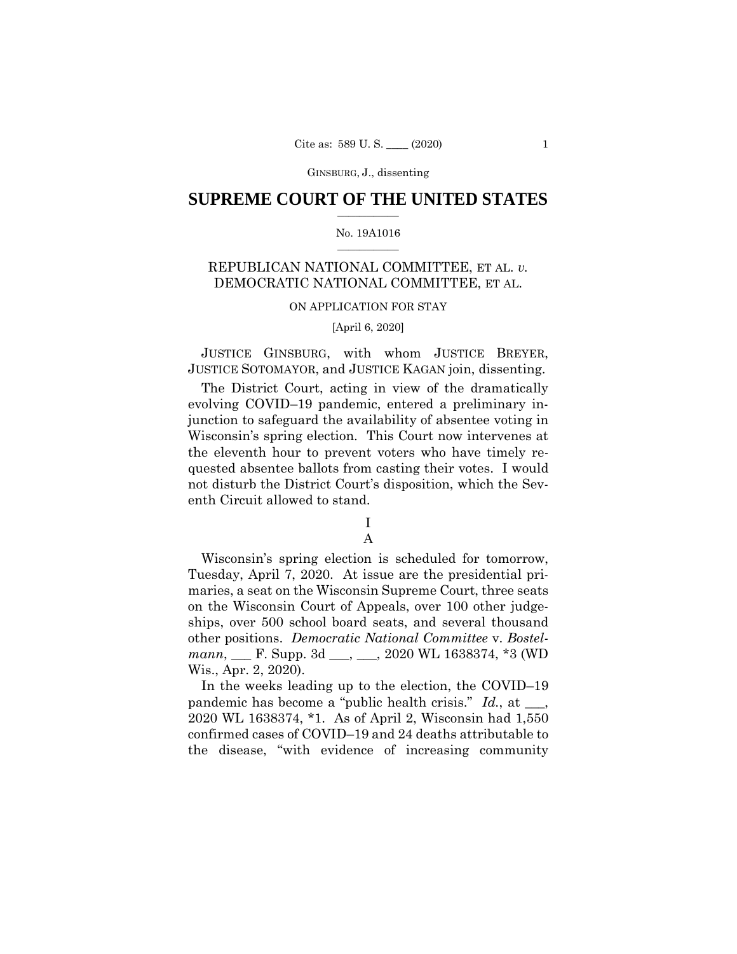GINSBURG, J., dissenting

### $\overline{\phantom{a}}$  , where  $\overline{\phantom{a}}$ **SUPREME COURT OF THE UNITED STATES**

#### $\overline{\phantom{a}}$  , where  $\overline{\phantom{a}}$ No. 19A1016

# REPUBLICAN NATIONAL COMMITTEE, ET AL. *v.*  DEMOCRATIC NATIONAL COMMITTEE, ET AL.

### ON APPLICATION FOR STAY

### [April 6, 2020]

JUSTICE GINSBURG, with whom JUSTICE BREYER, JUSTICE SOTOMAYOR, and JUSTICE KAGAN join, dissenting.

 evolving COVID–19 pandemic, entered a preliminary in- junction to safeguard the availability of absentee voting in quested absentee ballots from casting their votes. I would not disturb the District Court's disposition, which the Sev-The District Court, acting in view of the dramatically Wisconsin's spring election. This Court now intervenes at the eleventh hour to prevent voters who have timely reenth Circuit allowed to stand.

# I

# A

 Wisconsin's spring election is scheduled for tomorrow, maries, a seat on the Wisconsin Supreme Court, three seats on the Wisconsin Court of Appeals, over 100 other judge- ships, over 500 school board seats, and several thousand other positions. *Democratic National Committee* v. *Bostel- mann*, \_\_\_ F. Supp. 3d \_\_\_, \_\_\_, 2020 WL 1638374, \*3 (WD Tuesday, April 7, 2020. At issue are the presidential pri-Wis., Apr. 2, 2020).

 In the weeks leading up to the election, the COVID–19 2020 WL 1638374, \*1. As of April 2, Wisconsin had 1,550 the disease, "with evidence of increasing community pandemic has become a "public health crisis." *Id.*, at \_\_\_, confirmed cases of COVID–19 and 24 deaths attributable to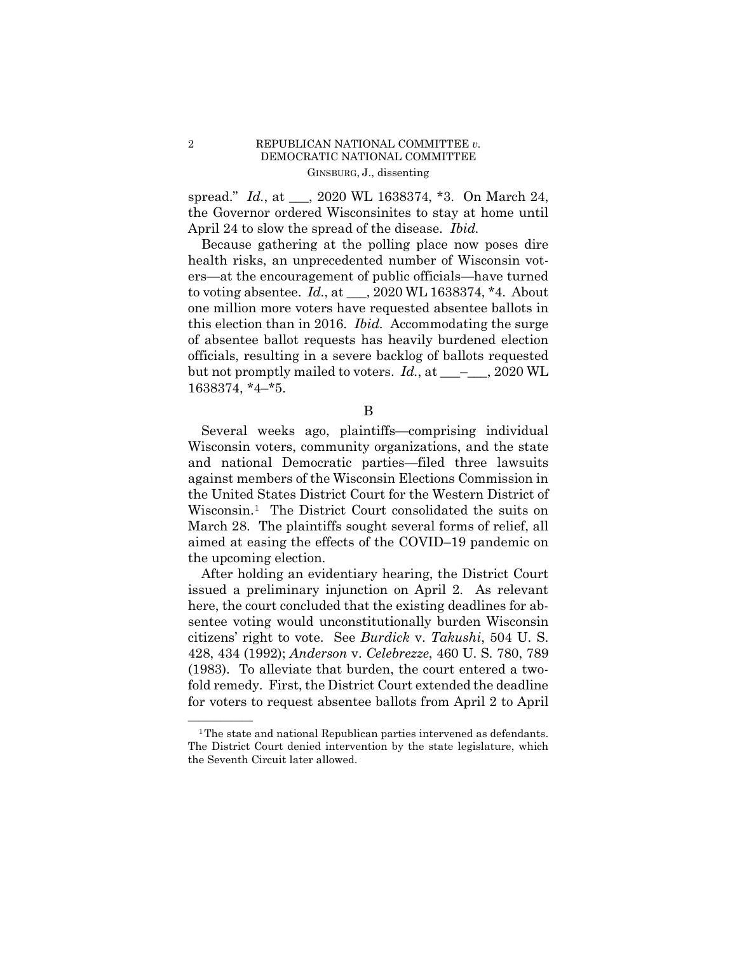## 2 REPUBLICAN NATIONAL COMMITTEE *v.*  DEMOCRATIC NATIONAL COMMITTEE GINSBURG, J., dissenting

 spread." *Id.*, at \_\_\_, 2020 WL 1638374, \*3. On March 24, the Governor ordered Wisconsinites to stay at home until April 24 to slow the spread of the disease. *Ibid.* 

 Because gathering at the polling place now poses dire ers—at the encouragement of public officials—have turned to voting absentee. *Id.*, at \_\_\_, 2020 WL 1638374, \*4. About one million more voters have requested absentee ballots in this election than in 2016. *Ibid.* Accommodating the surge officials, resulting in a severe backlog of ballots requested but not promptly mailed to voters. *Id.*, at \_\_\_\_\_, 2020 WL health risks, an unprecedented number of Wisconsin votof absentee ballot requests has heavily burdened election 1638374, \*4–\*5.

B

 the United States District Court for the Western District of Wisconsin.[1](#page-5-0) The District Court consolidated the suits on March 28. The plaintiffs sought several forms of relief, all Several weeks ago, plaintiffs—comprising individual Wisconsin voters, community organizations, and the state and national Democratic parties—filed three lawsuits against members of the Wisconsin Elections Commission in aimed at easing the effects of the COVID–19 pandemic on the upcoming election.

 issued a preliminary injunction on April 2. As relevant citizens' right to vote. See *Burdick* v. *Takushi*, 504 U. S. 428, 434 (1992); *Anderson* v. *Celebrezze*, 460 U. S. 780, 789 fold remedy. First, the District Court extended the deadline After holding an evidentiary hearing, the District Court here, the court concluded that the existing deadlines for absentee voting would unconstitutionally burden Wisconsin (1983). To alleviate that burden, the court entered a twofor voters to request absentee ballots from April 2 to April

<span id="page-5-0"></span><sup>&</sup>lt;sup>1</sup>The state and national Republican parties intervened as defendants. The District Court denied intervention by the state legislature, which the Seventh Circuit later allowed.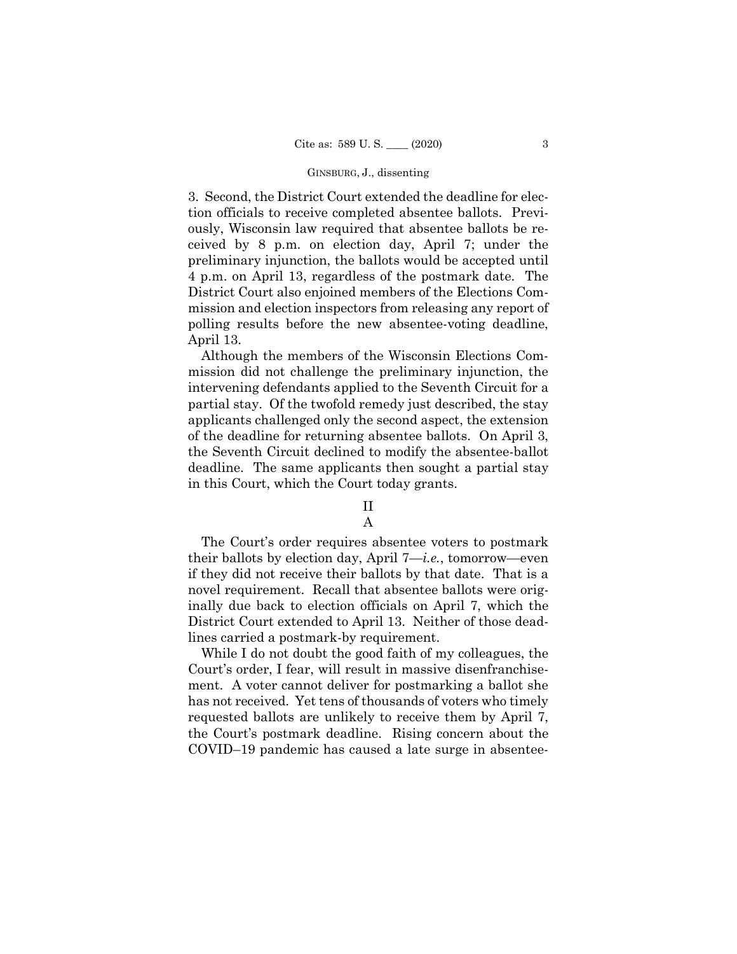#### GINSBURG, J., dissenting

 3. Second, the District Court extended the deadline for elec- preliminary injunction, the ballots would be accepted until 4 p.m. on April 13, regardless of the postmark date. The tion officials to receive completed absentee ballots. Previously, Wisconsin law required that absentee ballots be received by 8 p.m. on election day, April 7; under the District Court also enjoined members of the Elections Commission and election inspectors from releasing any report of polling results before the new absentee-voting deadline, April 13.

 intervening defendants applied to the Seventh Circuit for a partial stay. Of the twofold remedy just described, the stay of the deadline for returning absentee ballots. On April 3, the Seventh Circuit declined to modify the absentee-ballot deadline. The same applicants then sought a partial stay Although the members of the Wisconsin Elections Commission did not challenge the preliminary injunction, the applicants challenged only the second aspect, the extension in this Court, which the Court today grants.

# II

# A

 The Court's order requires absentee voters to postmark their ballots by election day, April 7—*i.e.*, tomorrow—even novel requirement. Recall that absentee ballots were orig- District Court extended to April 13. Neither of those deadif they did not receive their ballots by that date. That is a inally due back to election officials on April 7, which the lines carried a postmark-by requirement.

 While I do not doubt the good faith of my colleagues, the ment. A voter cannot deliver for postmarking a ballot she has not received. Yet tens of thousands of voters who timely requested ballots are unlikely to receive them by April 7, the Court's postmark deadline. Rising concern about the Court's order, I fear, will result in massive disenfranchise-COVID–19 pandemic has caused a late surge in absentee-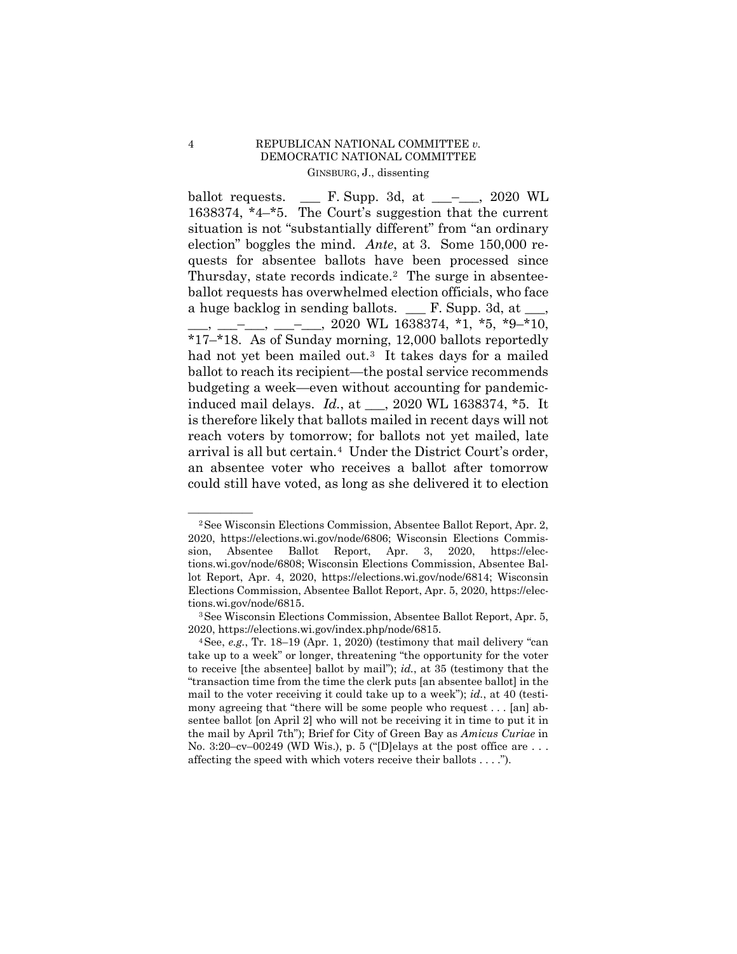## 4 REPUBLICAN NATIONAL COMMITTEE *v.*  DEMOCRATIC NATIONAL COMMITTEE GINSBURG, J., dissenting

ballot requests. 1638374, \*4–\*5. The Court's suggestion that the current situation is not "substantially different" from "an ordinary election" boggles the mind. *Ante*, at 3. Some 150,000 re- quests for absentee ballots have been processed since Thursday, state records indicate.<sup>[2](#page-7-0)</sup> The surge in absentee- ballot requests has overwhelmed election officials, who face a huge backlog in sending ballots. \_\_\_ F. Supp. 3d, at \_\_\_, had not yet been mailed out.<sup>3</sup> It takes days for a mailed ballot to reach its recipient—the postal service recommends budgeting a week—even without accounting for pandemic- induced mail delays. *Id.*, at \_\_\_, 2020 WL 1638374, \*5. It is therefore likely that ballots mailed in recent days will not reach voters by tomorrow; for ballots not yet mailed, late arrival is all but certain.[4](#page-7-2) Under the District Court's order, could still have voted, as long as she delivered it to election <u>\_\_\_</u> F. Supp. 3d, at \_\_\_<sup>\_</sup>\_\_\_, 2020 WL  $\_, \_\_\_\_$ , 2020 WL 1638374, \*1, \*5, \*9–\*10, \*17–\*18. As of Sunday morning, 12,000 ballots reportedly an absentee voter who receives a ballot after tomorrow

<span id="page-7-0"></span> 2020, https://elections.wi.gov/node/6806; Wisconsin Elections Commis- sion, Absentee Ballot Report, Apr. 3, 2020, https://elec- tions.wi.gov/node/6808; Wisconsin Elections Commission, Absentee Bal-<sup>2</sup> See Wisconsin Elections Commission, Absentee Ballot Report, Apr. 2, lot Report, Apr. 4, 2020, https://elections.wi.gov/node/6814; Wisconsin Elections Commission, Absentee Ballot Report, Apr. 5, 2020, https://elec-

<span id="page-7-1"></span> 2020, https://elections.wi.gov/index.php/node/6815. 4See, *e.g.*, Tr. 18–19 (Apr. 1, 2020) (testimony that mail delivery "can tions.wi.gov/node/6815.<br><sup>3</sup>See Wisconsin Elections Commission, Absentee Ballot Report, Apr. 5,

<span id="page-7-2"></span> "transaction time from the time the clerk puts [an absentee ballot] in the mony agreeing that "there will be some people who request . . . [an] ab- sentee ballot [on April 2] who will not be receiving it in time to put it in the mail by April 7th"); Brief for City of Green Bay as *Amicus Curiae* in No. 3:20–cv–00249 (WD Wis.), p. 5 ("[D]elays at the post office are . . . affecting the speed with which voters receive their ballots . . . ."). take up to a week" or longer, threatening "the opportunity for the voter to receive [the absentee] ballot by mail"); *id.*, at 35 (testimony that the mail to the voter receiving it could take up to a week"); *id.*, at 40 (testi-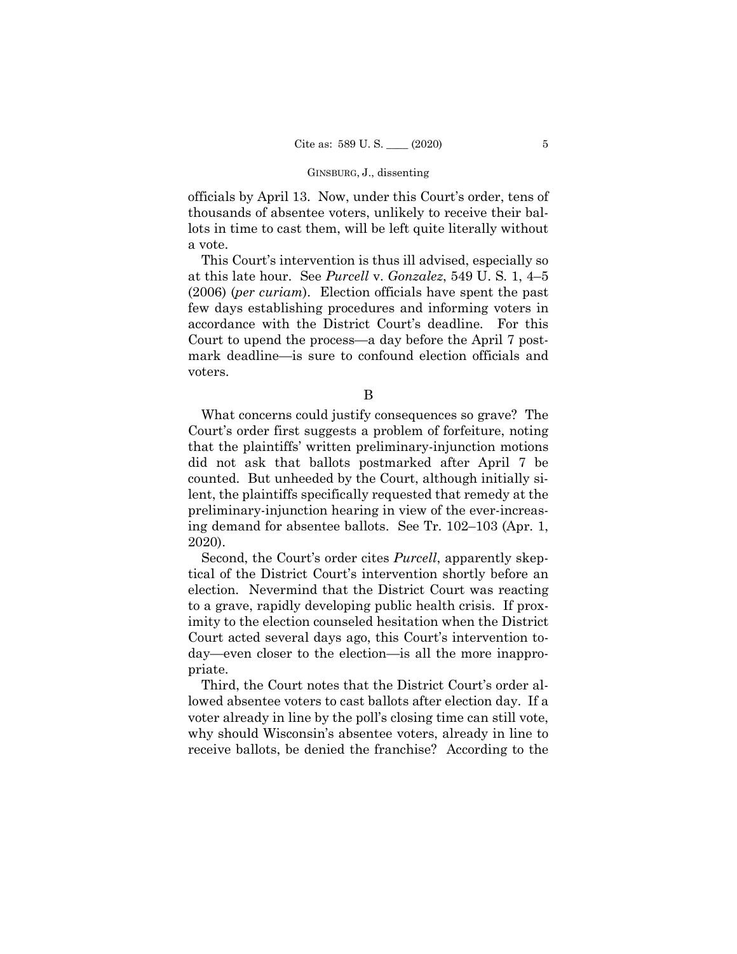#### GINSBURG, J., dissenting

 lots in time to cast them, will be left quite literally without officials by April 13. Now, under this Court's order, tens of thousands of absentee voters, unlikely to receive their bala vote.

 at this late hour. See *Purcell* v. *Gonzalez*, 549 U. S. 1, 4–5 (2006) (*per curiam*). Election officials have spent the past This Court's intervention is thus ill advised, especially so few days establishing procedures and informing voters in accordance with the District Court's deadline. For this Court to upend the process—a day before the April 7 postmark deadline—is sure to confound election officials and voters.

B

 What concerns could justify consequences so grave? The that the plaintiffs' written preliminary-injunction motions counted. But unheeded by the Court, although initially si- preliminary-injunction hearing in view of the ever-increas-Court's order first suggests a problem of forfeiture, noting did not ask that ballots postmarked after April 7 be lent, the plaintiffs specifically requested that remedy at the ing demand for absentee ballots. See Tr. 102–103 (Apr. 1, 2020).

 Second, the Court's order cites *Purcell*, apparently skep- tical of the District Court's intervention shortly before an election. Nevermind that the District Court was reacting to a grave, rapidly developing public health crisis. If prox- day—even closer to the election—is all the more inapproimity to the election counseled hesitation when the District Court acted several days ago, this Court's intervention topriate.

 Third, the Court notes that the District Court's order al- lowed absentee voters to cast ballots after election day. If a receive ballots, be denied the franchise? According to the voter already in line by the poll's closing time can still vote, why should Wisconsin's absentee voters, already in line to